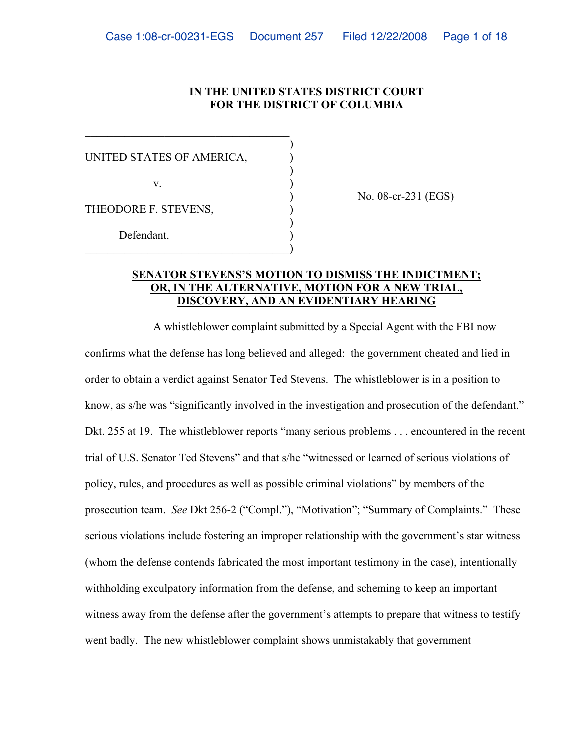### **IN THE UNITED STATES DISTRICT COURT FOR THE DISTRICT OF COLUMBIA**

| UNITED STATES OF AMERICA, |  |
|---------------------------|--|
| $V_{-}$                   |  |
| THEODORE F. STEVENS,      |  |
| Defendant.                |  |

\_\_\_\_\_\_\_\_\_\_\_\_\_\_\_\_\_\_\_\_\_\_\_\_\_\_\_\_\_\_\_\_\_\_\_\_

) No. 08-cr-231 (EGS)

# **SENATOR STEVENS'S MOTION TO DISMISS THE INDICTMENT; OR, IN THE ALTERNATIVE, MOTION FOR A NEW TRIAL, DISCOVERY, AND AN EVIDENTIARY HEARING**

A whistleblower complaint submitted by a Special Agent with the FBI now confirms what the defense has long believed and alleged: the government cheated and lied in order to obtain a verdict against Senator Ted Stevens. The whistleblower is in a position to know, as s/he was "significantly involved in the investigation and prosecution of the defendant." Dkt. 255 at 19. The whistleblower reports "many serious problems . . . encountered in the recent trial of U.S. Senator Ted Stevens" and that s/he "witnessed or learned of serious violations of policy, rules, and procedures as well as possible criminal violations" by members of the prosecution team. *See* Dkt 256-2 ("Compl."), "Motivation"; "Summary of Complaints." These serious violations include fostering an improper relationship with the government's star witness (whom the defense contends fabricated the most important testimony in the case), intentionally withholding exculpatory information from the defense, and scheming to keep an important witness away from the defense after the government's attempts to prepare that witness to testify went badly. The new whistleblower complaint shows unmistakably that government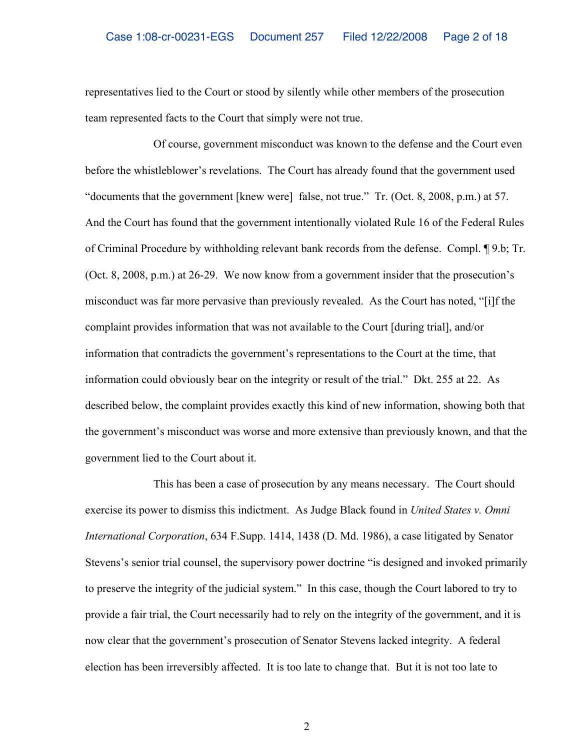representatives lied to the Court or stood by silently while other members of the prosecution team represented facts to the Court that simply were not true.

Of course, government misconduct was known to the defense and the Court even before the whistleblower's revelations. The Court has already found that the government used "documents that the government [knew were] false, not true." Tr. (Oct. 8, 2008, p.m.) at 57. And the Court has found that the government intentionally violated Rule 16 of the Federal Rules of Criminal Procedure by withholding relevant bank records from the defense. Compl. ¶ 9.b; Tr. (Oct. 8, 2008, p.m.) at 26-29. We now know from a government insider that the prosecution's misconduct was far more pervasive than previously revealed. As the Court has noted, "[i]f the complaint provides information that was not available to the Court [during trial], and/or information that contradicts the government's representations to the Court at the time, that information could obviously bear on the integrity or result of the trial." Dkt. 255 at 22. As described below, the complaint provides exactly this kind of new information, showing both that the government's misconduct was worse and more extensive than previously known, and that the government lied to the Court about it.

This has been a case of prosecution by any means necessary. The Court should exercise its power to dismiss this indictment. As Judge Black found in *United States v. Omni International Corporation*, 634 F.Supp. 1414, 1438 (D. Md. 1986), a case litigated by Senator Stevens's senior trial counsel, the supervisory power doctrine "is designed and invoked primarily to preserve the integrity of the judicial system." In this case, though the Court labored to try to provide a fair trial, the Court necessarily had to rely on the integrity of the government, and it is now clear that the government's prosecution of Senator Stevens lacked integrity. A federal election has been irreversibly affected. It is too late to change that. But it is not too late to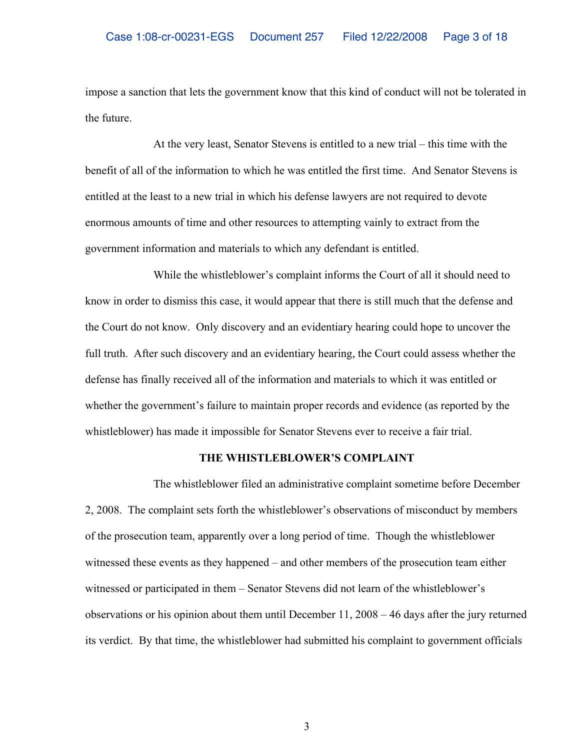impose a sanction that lets the government know that this kind of conduct will not be tolerated in the future.

At the very least, Senator Stevens is entitled to a new trial – this time with the benefit of all of the information to which he was entitled the first time. And Senator Stevens is entitled at the least to a new trial in which his defense lawyers are not required to devote enormous amounts of time and other resources to attempting vainly to extract from the government information and materials to which any defendant is entitled.

While the whistleblower's complaint informs the Court of all it should need to know in order to dismiss this case, it would appear that there is still much that the defense and the Court do not know. Only discovery and an evidentiary hearing could hope to uncover the full truth. After such discovery and an evidentiary hearing, the Court could assess whether the defense has finally received all of the information and materials to which it was entitled or whether the government's failure to maintain proper records and evidence (as reported by the whistleblower) has made it impossible for Senator Stevens ever to receive a fair trial.

# **THE WHISTLEBLOWER'S COMPLAINT**

The whistleblower filed an administrative complaint sometime before December 2, 2008. The complaint sets forth the whistleblower's observations of misconduct by members of the prosecution team, apparently over a long period of time. Though the whistleblower witnessed these events as they happened – and other members of the prosecution team either witnessed or participated in them – Senator Stevens did not learn of the whistleblower's observations or his opinion about them until December 11, 2008 – 46 days after the jury returned its verdict. By that time, the whistleblower had submitted his complaint to government officials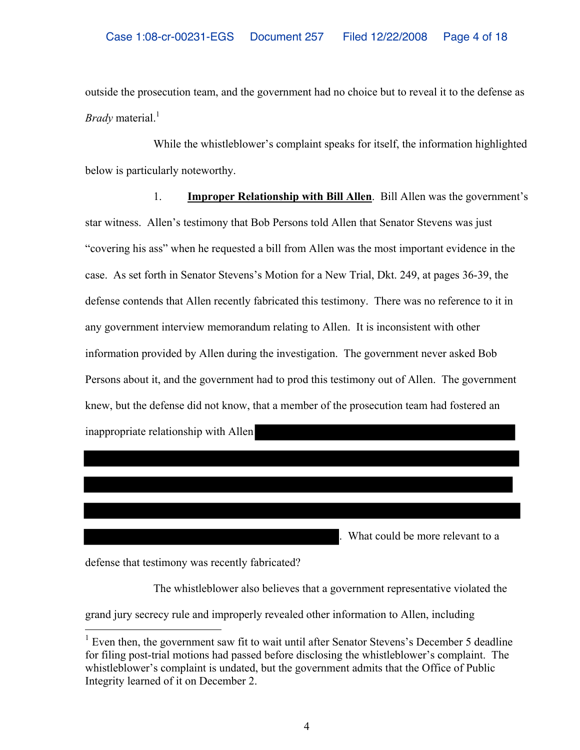outside the prosecution team, and the government had no choice but to reveal it to the defense as *Brady* material. 1

While the whistleblower's complaint speaks for itself, the information highlighted below is particularly noteworthy.

1. **Improper Relationship with Bill Allen**. Bill Allen was the government's star witness. Allen's testimony that Bob Persons told Allen that Senator Stevens was just "covering his ass" when he requested a bill from Allen was the most important evidence in the case. As set forth in Senator Stevens's Motion for a New Trial, Dkt. 249, at pages 36-39, the defense contends that Allen recently fabricated this testimony. There was no reference to it in any government interview memorandum relating to Allen. It is inconsistent with other information provided by Allen during the investigation. The government never asked Bob Persons about it, and the government had to prod this testimony out of Allen. The government knew, but the defense did not know, that a member of the prosecution team had fostered an inappropriate relationship with Allen

. What could be more relevant to a

defense that testimony was recently fabricated?

 $\overline{a}$ 

The whistleblower also believes that a government representative violated the

grand jury secrecy rule and improperly revealed other information to Allen, including

<sup>&</sup>lt;sup>1</sup> Even then, the government saw fit to wait until after Senator Stevens's December 5 deadline for filing post-trial motions had passed before disclosing the whistleblower's complaint. The whistleblower's complaint is undated, but the government admits that the Office of Public Integrity learned of it on December 2.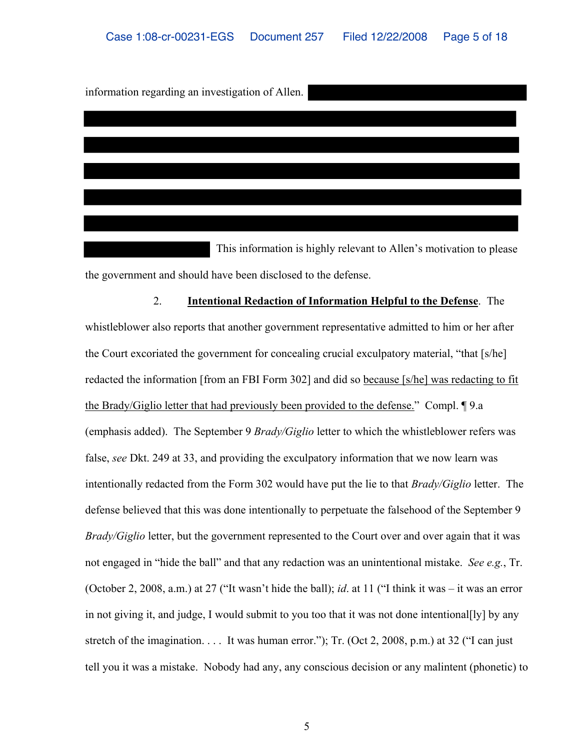information regarding an investigation of Allen.

This information is highly relevant to Allen's motivation to please the government and should have been disclosed to the defense.

2. **Intentional Redaction of Information Helpful to the Defense**. The whistleblower also reports that another government representative admitted to him or her after the Court excoriated the government for concealing crucial exculpatory material, "that [s/he] redacted the information [from an FBI Form 302] and did so because [s/he] was redacting to fit the Brady/Giglio letter that had previously been provided to the defense." Compl. ¶ 9.a (emphasis added). The September 9 *Brady/Giglio* letter to which the whistleblower refers was false, *see* Dkt. 249 at 33, and providing the exculpatory information that we now learn was intentionally redacted from the Form 302 would have put the lie to that *Brady/Giglio* letter. The defense believed that this was done intentionally to perpetuate the falsehood of the September 9 *Brady/Giglio* letter, but the government represented to the Court over and over again that it was not engaged in "hide the ball" and that any redaction was an unintentional mistake. *See e.g.*, Tr. (October 2, 2008, a.m.) at 27 ("It wasn't hide the ball); *id*. at 11 ("I think it was – it was an error in not giving it, and judge, I would submit to you too that it was not done intentional[ly] by any stretch of the imagination. . . . It was human error."); Tr. (Oct 2, 2008, p.m.) at 32 ("I can just tell you it was a mistake. Nobody had any, any conscious decision or any malintent (phonetic) to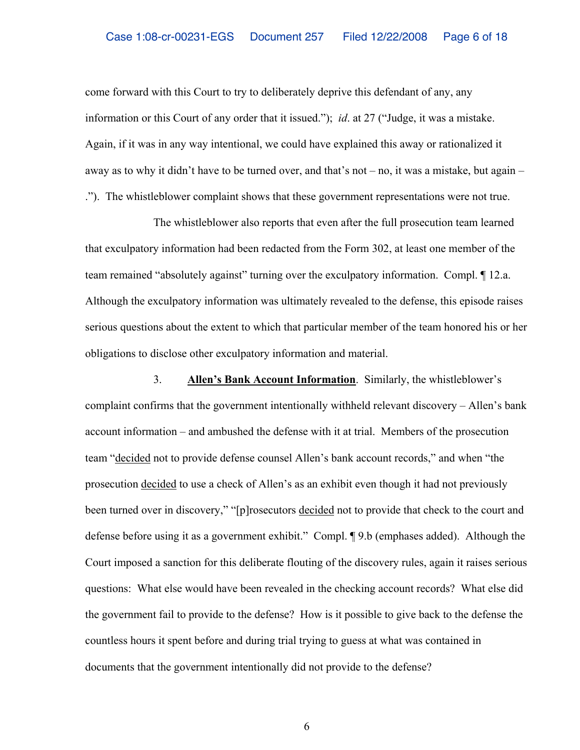come forward with this Court to try to deliberately deprive this defendant of any, any information or this Court of any order that it issued."); *id*. at 27 ("Judge, it was a mistake. Again, if it was in any way intentional, we could have explained this away or rationalized it away as to why it didn't have to be turned over, and that's not – no, it was a mistake, but again – ."). The whistleblower complaint shows that these government representations were not true.

The whistleblower also reports that even after the full prosecution team learned that exculpatory information had been redacted from the Form 302, at least one member of the team remained "absolutely against" turning over the exculpatory information. Compl. ¶ 12.a. Although the exculpatory information was ultimately revealed to the defense, this episode raises serious questions about the extent to which that particular member of the team honored his or her obligations to disclose other exculpatory information and material.

3. **Allen's Bank Account Information**. Similarly, the whistleblower's complaint confirms that the government intentionally withheld relevant discovery – Allen's bank account information – and ambushed the defense with it at trial. Members of the prosecution team "decided not to provide defense counsel Allen's bank account records," and when "the prosecution decided to use a check of Allen's as an exhibit even though it had not previously been turned over in discovery," "[p]rosecutors decided not to provide that check to the court and defense before using it as a government exhibit." Compl. ¶ 9.b (emphases added). Although the Court imposed a sanction for this deliberate flouting of the discovery rules, again it raises serious questions: What else would have been revealed in the checking account records? What else did the government fail to provide to the defense? How is it possible to give back to the defense the countless hours it spent before and during trial trying to guess at what was contained in documents that the government intentionally did not provide to the defense?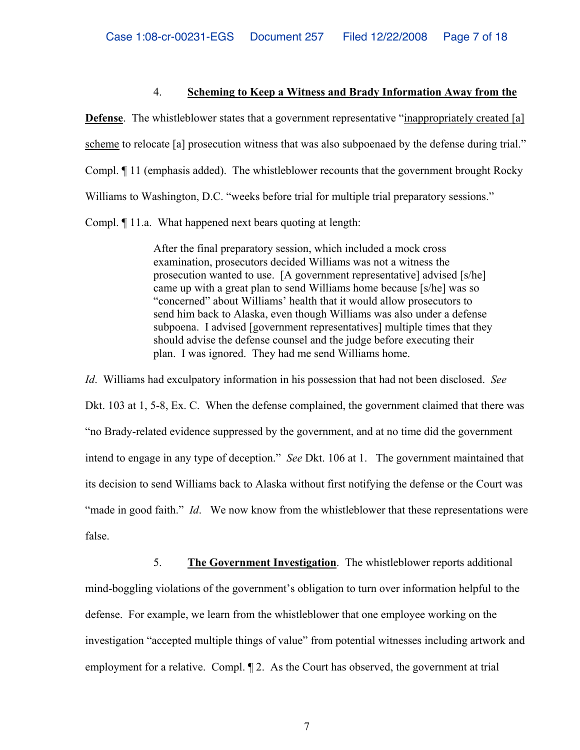#### 4. **Scheming to Keep a Witness and Brady Information Away from the**

**Defense**. The whistleblower states that a government representative "inappropriately created [a] scheme to relocate [a] prosecution witness that was also subpoenaed by the defense during trial." Compl. ¶ 11 (emphasis added). The whistleblower recounts that the government brought Rocky Williams to Washington, D.C. "weeks before trial for multiple trial preparatory sessions." Compl. ¶ 11.a. What happened next bears quoting at length:

> After the final preparatory session, which included a mock cross examination, prosecutors decided Williams was not a witness the prosecution wanted to use. [A government representative] advised [s/he] came up with a great plan to send Williams home because [s/he] was so "concerned" about Williams' health that it would allow prosecutors to send him back to Alaska, even though Williams was also under a defense subpoena. I advised [government representatives] multiple times that they should advise the defense counsel and the judge before executing their plan. I was ignored. They had me send Williams home.

*Id*. Williams had exculpatory information in his possession that had not been disclosed. *See* Dkt. 103 at 1, 5-8, Ex. C. When the defense complained, the government claimed that there was "no Brady-related evidence suppressed by the government, and at no time did the government intend to engage in any type of deception." *See* Dkt. 106 at 1. The government maintained that its decision to send Williams back to Alaska without first notifying the defense or the Court was "made in good faith." *Id.* We now know from the whistleblower that these representations were false.

5. **The Government Investigation**. The whistleblower reports additional mind-boggling violations of the government's obligation to turn over information helpful to the defense. For example, we learn from the whistleblower that one employee working on the investigation "accepted multiple things of value" from potential witnesses including artwork and employment for a relative. Compl. ¶ 2. As the Court has observed, the government at trial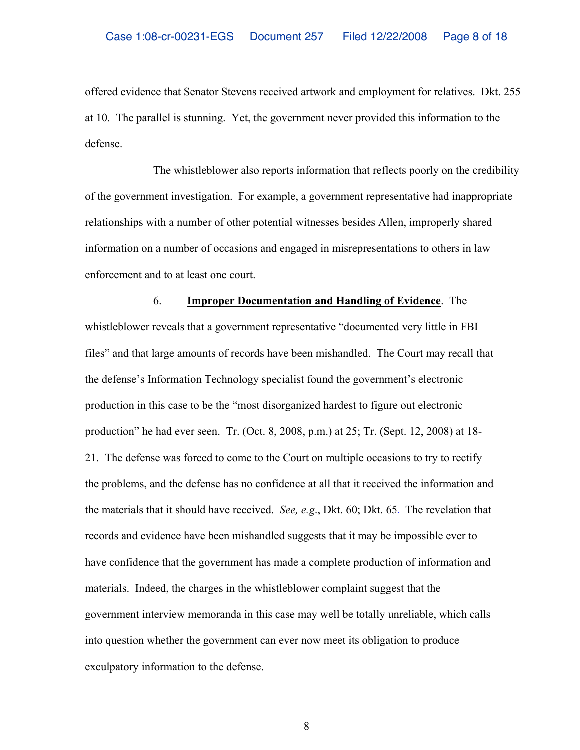offered evidence that Senator Stevens received artwork and employment for relatives. Dkt. 255 at 10. The parallel is stunning. Yet, the government never provided this information to the defense.

The whistleblower also reports information that reflects poorly on the credibility of the government investigation. For example, a government representative had inappropriate relationships with a number of other potential witnesses besides Allen, improperly shared information on a number of occasions and engaged in misrepresentations to others in law enforcement and to at least one court.

# 6. **Improper Documentation and Handling of Evidence**. The

whistleblower reveals that a government representative "documented very little in FBI files" and that large amounts of records have been mishandled. The Court may recall that the defense's Information Technology specialist found the government's electronic production in this case to be the "most disorganized hardest to figure out electronic production" he had ever seen. Tr. (Oct. 8, 2008, p.m.) at 25; Tr. (Sept. 12, 2008) at 18- 21. The defense was forced to come to the Court on multiple occasions to try to rectify the problems, and the defense has no confidence at all that it received the information and the materials that it should have received. *See, e.g*., Dkt. 60; Dkt. 65. The revelation that records and evidence have been mishandled suggests that it may be impossible ever to have confidence that the government has made a complete production of information and materials. Indeed, the charges in the whistleblower complaint suggest that the government interview memoranda in this case may well be totally unreliable, which calls into question whether the government can ever now meet its obligation to produce exculpatory information to the defense.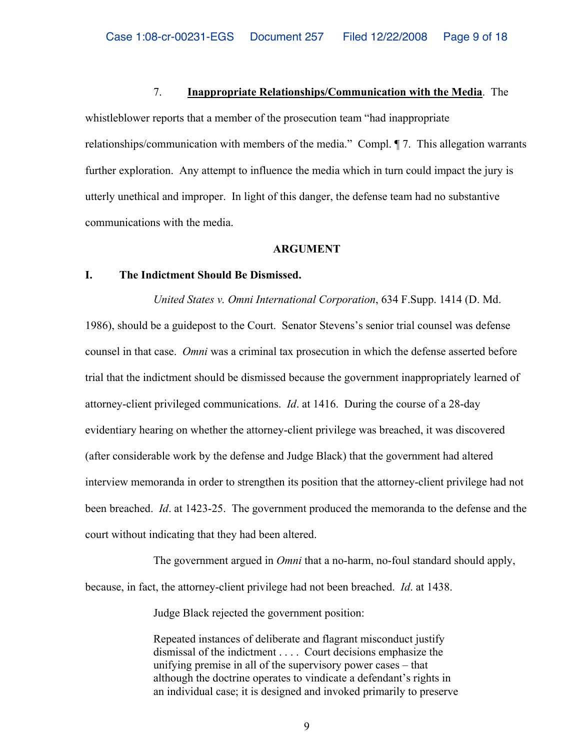#### 7. **Inappropriate Relationships/Communication with the Media**. The

whistleblower reports that a member of the prosecution team "had inappropriate relationships/communication with members of the media." Compl. ¶ 7. This allegation warrants further exploration. Any attempt to influence the media which in turn could impact the jury is utterly unethical and improper. In light of this danger, the defense team had no substantive communications with the media.

#### **ARGUMENT**

### **I. The Indictment Should Be Dismissed.**

*United States v. Omni International Corporation*, 634 F.Supp. 1414 (D. Md.

1986), should be a guidepost to the Court. Senator Stevens's senior trial counsel was defense counsel in that case. *Omni* was a criminal tax prosecution in which the defense asserted before trial that the indictment should be dismissed because the government inappropriately learned of attorney-client privileged communications. *Id*. at 1416. During the course of a 28-day evidentiary hearing on whether the attorney-client privilege was breached, it was discovered (after considerable work by the defense and Judge Black) that the government had altered interview memoranda in order to strengthen its position that the attorney-client privilege had not been breached. *Id*. at 1423-25. The government produced the memoranda to the defense and the court without indicating that they had been altered.

The government argued in *Omni* that a no-harm, no-foul standard should apply, because, in fact, the attorney-client privilege had not been breached. *Id*. at 1438.

Judge Black rejected the government position:

Repeated instances of deliberate and flagrant misconduct justify dismissal of the indictment . . . . Court decisions emphasize the unifying premise in all of the supervisory power cases – that although the doctrine operates to vindicate a defendant's rights in an individual case; it is designed and invoked primarily to preserve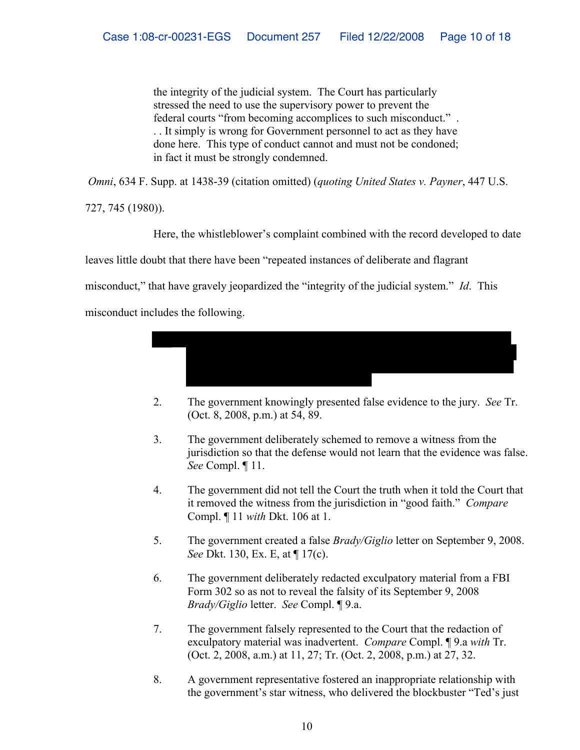the integrity of the judicial system. The Court has particularly stressed the need to use the supervisory power to prevent the federal courts "from becoming accomplices to such misconduct." . . . It simply is wrong for Government personnel to act as they have done here. This type of conduct cannot and must not be condoned; in fact it must be strongly condemned.

*Omni*, 634 F. Supp. at 1438-39 (citation omitted) (*quoting United States v. Payner*, 447 U.S.

727, 745 (1980)).

Here, the whistleblower's complaint combined with the record developed to date

leaves little doubt that there have been "repeated instances of deliberate and flagrant

misconduct," that have gravely jeopardized the "integrity of the judicial system." *Id*. This

misconduct includes the following.



- 2. The government knowingly presented false evidence to the jury. *See* Tr. (Oct. 8, 2008, p.m.) at 54, 89.
- 3. The government deliberately schemed to remove a witness from the jurisdiction so that the defense would not learn that the evidence was false. *See* Compl. ¶ 11.
- 4. The government did not tell the Court the truth when it told the Court that it removed the witness from the jurisdiction in "good faith." *Compare* Compl. ¶ 11 *with* Dkt. 106 at 1.
- 5. The government created a false *Brady/Giglio* letter on September 9, 2008. *See* Dkt. 130, Ex. E, at ¶ 17(c).
- 6. The government deliberately redacted exculpatory material from a FBI Form 302 so as not to reveal the falsity of its September 9, 2008 *Brady/Giglio* letter. *See* Compl. ¶ 9.a.
- 7. The government falsely represented to the Court that the redaction of exculpatory material was inadvertent. *Compare* Compl. ¶ 9.a *with* Tr. (Oct. 2, 2008, a.m.) at 11, 27; Tr. (Oct. 2, 2008, p.m.) at 27, 32.
- 8. A government representative fostered an inappropriate relationship with the government's star witness, who delivered the blockbuster "Ted's just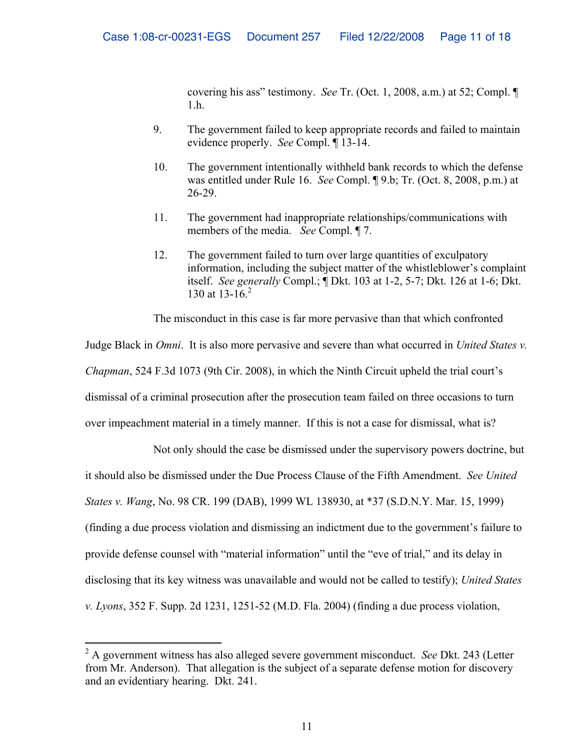covering his ass" testimony. *See* Tr. (Oct. 1, 2008, a.m.) at 52; Compl. ¶ 1.h.

- 9. The government failed to keep appropriate records and failed to maintain evidence properly. *See* Compl. ¶ 13-14.
- 10. The government intentionally withheld bank records to which the defense was entitled under Rule 16. *See* Compl. ¶ 9.b; Tr. (Oct. 8, 2008, p.m.) at 26-29.
- 11. The government had inappropriate relationships/communications with members of the media. *See* Compl. ¶ 7.
- 12. The government failed to turn over large quantities of exculpatory information, including the subject matter of the whistleblower's complaint itself. *See generally* Compl.; ¶ Dkt. 103 at 1-2, 5-7; Dkt. 126 at 1-6; Dkt. 130 at 13-16.<sup>2</sup>

The misconduct in this case is far more pervasive than that which confronted

Judge Black in *Omni*. It is also more pervasive and severe than what occurred in *United States v. Chapman*, 524 F.3d 1073 (9th Cir. 2008), in which the Ninth Circuit upheld the trial court's dismissal of a criminal prosecution after the prosecution team failed on three occasions to turn over impeachment material in a timely manner. If this is not a case for dismissal, what is?

Not only should the case be dismissed under the supervisory powers doctrine, but it should also be dismissed under the Due Process Clause of the Fifth Amendment. *See United States v. Wang*, No. 98 CR. 199 (DAB), 1999 WL 138930, at \*37 (S.D.N.Y. Mar. 15, 1999) (finding a due process violation and dismissing an indictment due to the government's failure to provide defense counsel with "material information" until the "eve of trial," and its delay in disclosing that its key witness was unavailable and would not be called to testify); *United States v. Lyons*, 352 F. Supp. 2d 1231, 1251-52 (M.D. Fla. 2004) (finding a due process violation,

 $\overline{a}$ 

<sup>2</sup> A government witness has also alleged severe government misconduct. *See* Dkt. 243 (Letter from Mr. Anderson). That allegation is the subject of a separate defense motion for discovery and an evidentiary hearing. Dkt. 241.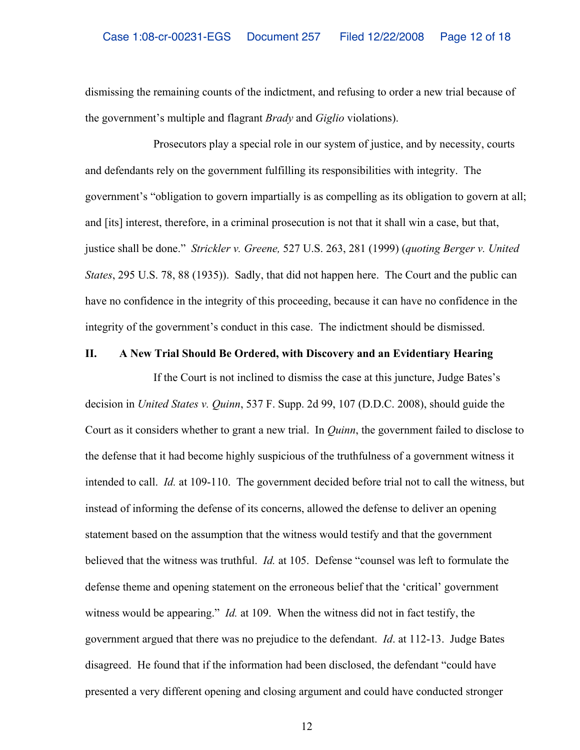dismissing the remaining counts of the indictment, and refusing to order a new trial because of the government's multiple and flagrant *Brady* and *Giglio* violations).

Prosecutors play a special role in our system of justice, and by necessity, courts and defendants rely on the government fulfilling its responsibilities with integrity. The government's "obligation to govern impartially is as compelling as its obligation to govern at all; and [its] interest, therefore, in a criminal prosecution is not that it shall win a case, but that, justice shall be done." *Strickler v. Greene,* 527 U.S. 263, 281 (1999) (*quoting Berger v. United States*, 295 U.S. 78, 88 (1935)). Sadly, that did not happen here. The Court and the public can have no confidence in the integrity of this proceeding, because it can have no confidence in the integrity of the government's conduct in this case. The indictment should be dismissed.

#### **II. A New Trial Should Be Ordered, with Discovery and an Evidentiary Hearing**

If the Court is not inclined to dismiss the case at this juncture, Judge Bates's decision in *United States v. Quinn*, 537 F. Supp. 2d 99, 107 (D.D.C. 2008), should guide the Court as it considers whether to grant a new trial. In *Quinn*, the government failed to disclose to the defense that it had become highly suspicious of the truthfulness of a government witness it intended to call. *Id.* at 109-110. The government decided before trial not to call the witness, but instead of informing the defense of its concerns, allowed the defense to deliver an opening statement based on the assumption that the witness would testify and that the government believed that the witness was truthful. *Id.* at 105. Defense "counsel was left to formulate the defense theme and opening statement on the erroneous belief that the 'critical' government witness would be appearing." *Id.* at 109. When the witness did not in fact testify, the government argued that there was no prejudice to the defendant. *Id*. at 112-13. Judge Bates disagreed. He found that if the information had been disclosed, the defendant "could have presented a very different opening and closing argument and could have conducted stronger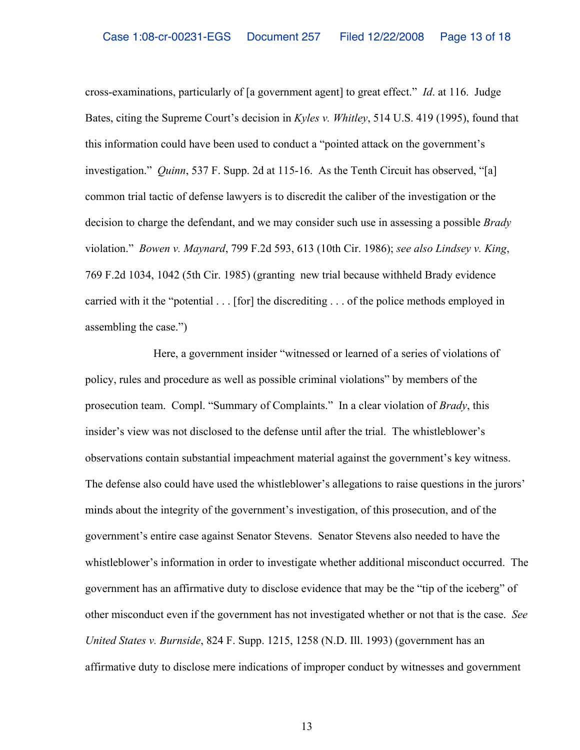cross-examinations, particularly of [a government agent] to great effect." *Id*. at 116. Judge Bates, citing the Supreme Court's decision in *Kyles v. Whitley*, 514 U.S. 419 (1995), found that this information could have been used to conduct a "pointed attack on the government's investigation." *Quinn*, 537 F. Supp. 2d at 115-16. As the Tenth Circuit has observed, "[a] common trial tactic of defense lawyers is to discredit the caliber of the investigation or the decision to charge the defendant, and we may consider such use in assessing a possible *Brady* violation." *Bowen v. Maynard*, 799 F.2d 593, 613 (10th Cir. 1986); *see also Lindsey v. King*, 769 F.2d 1034, 1042 (5th Cir. 1985) (granting new trial because withheld Brady evidence carried with it the "potential . . . [for] the discrediting . . . of the police methods employed in assembling the case.")

Here, a government insider "witnessed or learned of a series of violations of policy, rules and procedure as well as possible criminal violations" by members of the prosecution team. Compl. "Summary of Complaints." In a clear violation of *Brady*, this insider's view was not disclosed to the defense until after the trial. The whistleblower's observations contain substantial impeachment material against the government's key witness. The defense also could have used the whistleblower's allegations to raise questions in the jurors' minds about the integrity of the government's investigation, of this prosecution, and of the government's entire case against Senator Stevens. Senator Stevens also needed to have the whistleblower's information in order to investigate whether additional misconduct occurred. The government has an affirmative duty to disclose evidence that may be the "tip of the iceberg" of other misconduct even if the government has not investigated whether or not that is the case. *See United States v. Burnside*, 824 F. Supp. 1215, 1258 (N.D. Ill. 1993) (government has an affirmative duty to disclose mere indications of improper conduct by witnesses and government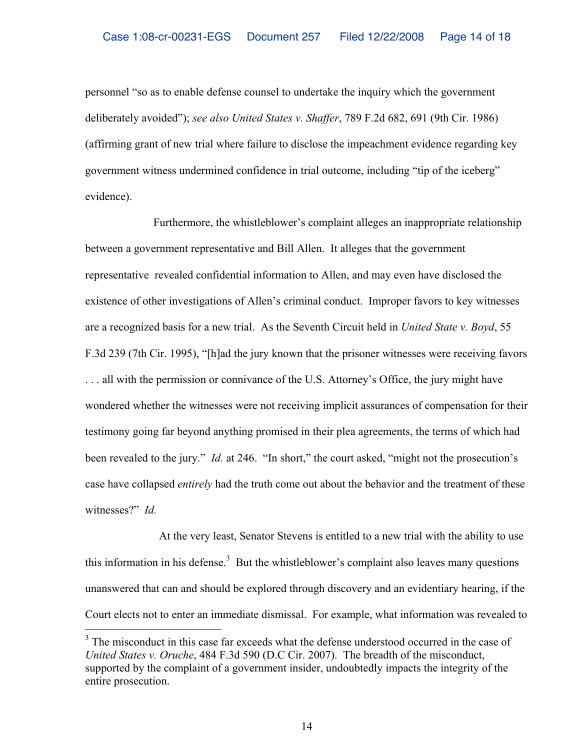personnel "so as to enable defense counsel to undertake the inquiry which the government deliberately avoided"); *see also United States v. Shaffer*, 789 F.2d 682, 691 (9th Cir. 1986) (affirming grant of new trial where failure to disclose the impeachment evidence regarding key government witness undermined confidence in trial outcome, including "tip of the iceberg" evidence).

Furthermore, the whistleblower's complaint alleges an inappropriate relationship between a government representative and Bill Allen. It alleges that the government representative revealed confidential information to Allen, and may even have disclosed the existence of other investigations of Allen's criminal conduct. Improper favors to key witnesses are a recognized basis for a new trial. As the Seventh Circuit held in *United State v. Boyd*, 55 F.3d 239 (7th Cir. 1995), "[h]ad the jury known that the prisoner witnesses were receiving favors . . . all with the permission or connivance of the U.S. Attorney's Office, the jury might have wondered whether the witnesses were not receiving implicit assurances of compensation for their testimony going far beyond anything promised in their plea agreements, the terms of which had been revealed to the jury." *Id.* at 246."In short," the court asked, "might not the prosecution's case have collapsed *entirely* had the truth come out about the behavior and the treatment of these witnesses?" *Id.*

 At the very least, Senator Stevens is entitled to a new trial with the ability to use this information in his defense.<sup>3</sup> But the whistleblower's complaint also leaves many questions unanswered that can and should be explored through discovery and an evidentiary hearing, if the Court elects not to enter an immediate dismissal. For example, what information was revealed to

 $\overline{a}$ 

 $3$  The misconduct in this case far exceeds what the defense understood occurred in the case of *United States v. Oruche*, 484 F.3d 590 (D.C Cir. 2007). The breadth of the misconduct, supported by the complaint of a government insider, undoubtedly impacts the integrity of the entire prosecution.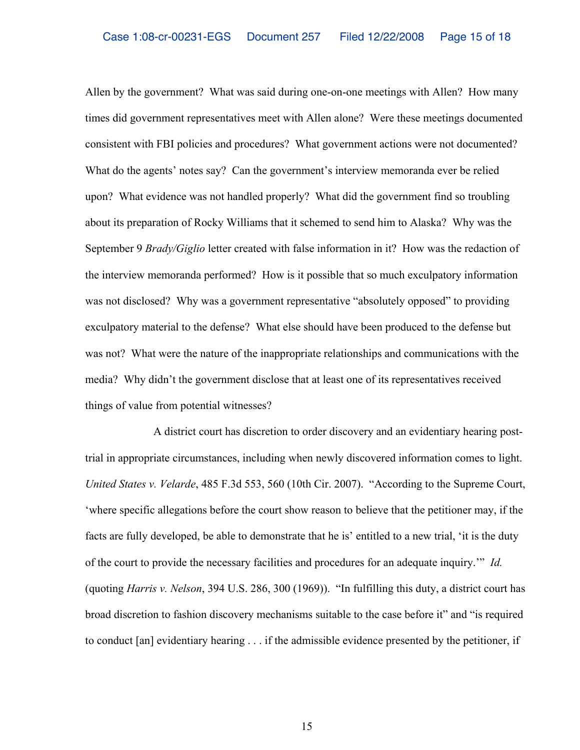Allen by the government? What was said during one-on-one meetings with Allen? How many times did government representatives meet with Allen alone? Were these meetings documented consistent with FBI policies and procedures? What government actions were not documented? What do the agents' notes say? Can the government's interview memoranda ever be relied upon? What evidence was not handled properly? What did the government find so troubling about its preparation of Rocky Williams that it schemed to send him to Alaska? Why was the September 9 *Brady/Giglio* letter created with false information in it? How was the redaction of the interview memoranda performed? How is it possible that so much exculpatory information was not disclosed? Why was a government representative "absolutely opposed" to providing exculpatory material to the defense? What else should have been produced to the defense but was not? What were the nature of the inappropriate relationships and communications with the media? Why didn't the government disclose that at least one of its representatives received things of value from potential witnesses?

A district court has discretion to order discovery and an evidentiary hearing posttrial in appropriate circumstances, including when newly discovered information comes to light. *United States v. Velarde*, 485 F.3d 553, 560 (10th Cir. 2007). "According to the Supreme Court, 'where specific allegations before the court show reason to believe that the petitioner may, if the facts are fully developed, be able to demonstrate that he is' entitled to a new trial, 'it is the duty of the court to provide the necessary facilities and procedures for an adequate inquiry.'" *Id.* (quoting *Harris v. Nelson*, 394 U.S. 286, 300 (1969)). "In fulfilling this duty, a district court has broad discretion to fashion discovery mechanisms suitable to the case before it" and "is required to conduct [an] evidentiary hearing . . . if the admissible evidence presented by the petitioner, if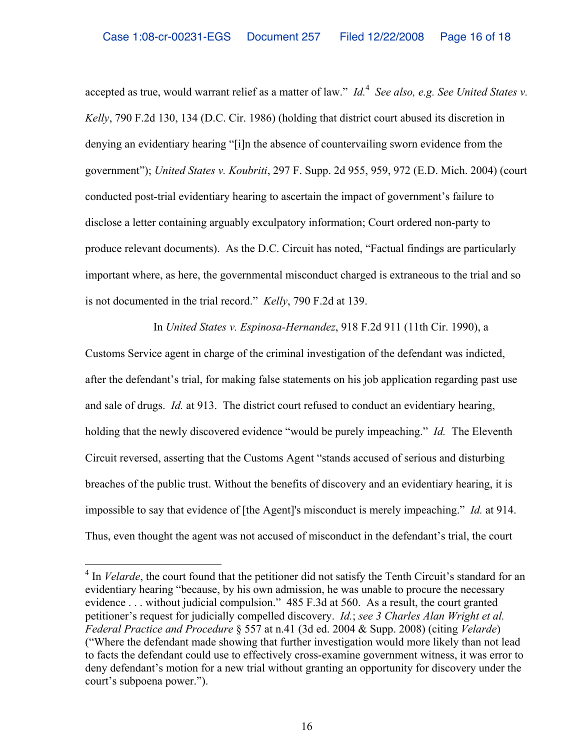accepted as true, would warrant relief as a matter of law." *Id.* 4 *See also, e.g. See United States v. Kelly*, 790 F.2d 130, 134 (D.C. Cir. 1986) (holding that district court abused its discretion in denying an evidentiary hearing "[i]n the absence of countervailing sworn evidence from the government"); *United States v. Koubriti*, 297 F. Supp. 2d 955, 959, 972 (E.D. Mich. 2004) (court conducted post-trial evidentiary hearing to ascertain the impact of government's failure to disclose a letter containing arguably exculpatory information; Court ordered non-party to produce relevant documents). As the D.C. Circuit has noted, "Factual findings are particularly important where, as here, the governmental misconduct charged is extraneous to the trial and so is not documented in the trial record." *Kelly*, 790 F.2d at 139.

In *United States v. Espinosa-Hernandez*, 918 F.2d 911 (11th Cir. 1990), a

Customs Service agent in charge of the criminal investigation of the defendant was indicted, after the defendant's trial, for making false statements on his job application regarding past use and sale of drugs. *Id.* at 913. The district court refused to conduct an evidentiary hearing, holding that the newly discovered evidence "would be purely impeaching." *Id.* The Eleventh Circuit reversed, asserting that the Customs Agent "stands accused of serious and disturbing breaches of the public trust. Without the benefits of discovery and an evidentiary hearing, it is impossible to say that evidence of [the Agent]'s misconduct is merely impeaching." *Id.* at 914. Thus, even thought the agent was not accused of misconduct in the defendant's trial, the court

 $\overline{a}$ 

<sup>&</sup>lt;sup>4</sup> In *Velarde*, the court found that the petitioner did not satisfy the Tenth Circuit's standard for an evidentiary hearing "because, by his own admission, he was unable to procure the necessary evidence . . . without judicial compulsion." 485 F.3d at 560. As a result, the court granted petitioner's request for judicially compelled discovery. *Id.*; *see 3 Charles Alan Wright et al. Federal Practice and Procedure* § 557 at n.41 (3d ed. 2004 & Supp. 2008) (citing *Velarde*) ("Where the defendant made showing that further investigation would more likely than not lead to facts the defendant could use to effectively cross-examine government witness, it was error to deny defendant's motion for a new trial without granting an opportunity for discovery under the court's subpoena power.").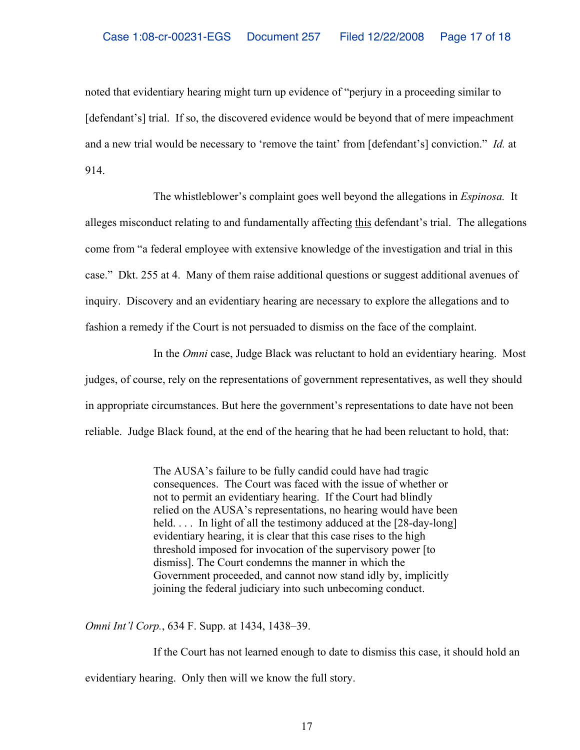noted that evidentiary hearing might turn up evidence of "perjury in a proceeding similar to [defendant's] trial. If so, the discovered evidence would be beyond that of mere impeachment and a new trial would be necessary to 'remove the taint' from [defendant's] conviction." *Id.* at 914.

The whistleblower's complaint goes well beyond the allegations in *Espinosa.* It alleges misconduct relating to and fundamentally affecting this defendant's trial. The allegations come from "a federal employee with extensive knowledge of the investigation and trial in this case." Dkt. 255 at 4. Many of them raise additional questions or suggest additional avenues of inquiry. Discovery and an evidentiary hearing are necessary to explore the allegations and to fashion a remedy if the Court is not persuaded to dismiss on the face of the complaint.

In the *Omni* case, Judge Black was reluctant to hold an evidentiary hearing. Most judges, of course, rely on the representations of government representatives, as well they should in appropriate circumstances. But here the government's representations to date have not been reliable. Judge Black found, at the end of the hearing that he had been reluctant to hold, that:

> The AUSA's failure to be fully candid could have had tragic consequences. The Court was faced with the issue of whether or not to permit an evidentiary hearing. If the Court had blindly relied on the AUSA's representations, no hearing would have been held. . . . In light of all the testimony adduced at the [28-day-long] evidentiary hearing, it is clear that this case rises to the high threshold imposed for invocation of the supervisory power [to dismiss]. The Court condemns the manner in which the Government proceeded, and cannot now stand idly by, implicitly joining the federal judiciary into such unbecoming conduct.

*Omni Int'l Corp.*, 634 F. Supp. at 1434, 1438–39.

If the Court has not learned enough to date to dismiss this case, it should hold an evidentiary hearing. Only then will we know the full story.